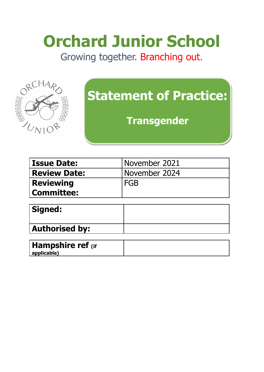# **Orchard Junior School**

Growing together. Branching out.



# **Statement of Practice:**

**Transgender** 

| <b>Issue Date:</b>  | November 2021   |
|---------------------|-----------------|
| <b>Review Date:</b> | I November 2024 |
| <b>Reviewing</b>    | <b>FGB</b>      |
| <b>Committee:</b>   |                 |

| Signed:               |  |
|-----------------------|--|
| <b>Authorised by:</b> |  |

| Hampshire ref (if |  |
|-------------------|--|
| applicable)       |  |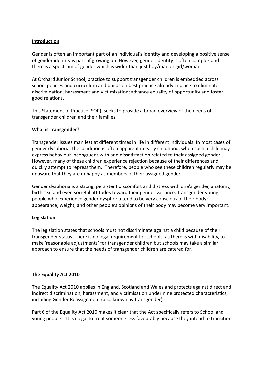# **Introduction**

Gender is often an important part of an individual's identity and developing a positive sense of gender identity is part of growing up. However, gender identity is often complex and there is a spectrum of gender which is wider than just boy/man or girl/woman.

At Orchard Junior School, practice to support transgender children is embedded across school policies and curriculum and builds on best practice already in place to eliminate discrimination, harassment and victimisation; advance equality of opportunity and foster good relations.

This Statement of Practice (SOP), seeks to provide a broad overview of the needs of transgender children and their families.

# **What is Transgender?**

Transgender issues manifest at different times in life in different individuals. In most cases of gender dysphoria, the condition is often apparent in early childhood, when such a child may express behaviour incongruent with and dissatisfaction related to their assigned gender. However, many of these children experience rejection because of their differences and quickly attempt to repress them. Therefore, people who see these children regularly may be unaware that they are unhappy as members of their assigned gender.

Gender dysphoria is a strong, persistent discomfort and distress with one's gender, anatomy, birth sex, and even societal attitudes toward their gender variance. Transgender young people who experience gender dysphoria tend to be very conscious of their body; appearance, weight, and other people's opinions of their body may become very important.

# **Legislation**

The legislation states that schools must not discriminate against a child because of their transgender status. There is no legal requirement for schools, as there is with disability, to make 'reasonable adjustments' for transgender children but schools may take a similar approach to ensure that the needs of transgender children are catered for.

# **The Equality Act 2010**

The Equality Act 2010 applies in England, Scotland and Wales and protects against direct and indirect discrimination, harassment, and victimisation under nine protected characteristics, including Gender Reassignment (also known as Transgender).

Part 6 of the Equality Act 2010 makes it clear that the Act specifically refers to School and young people. It is illegal to treat someone less favourably because they intend to transition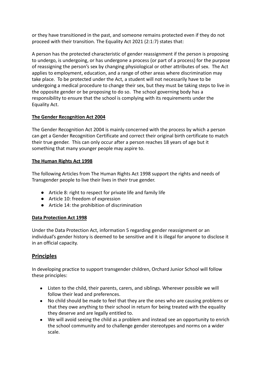or they have transitioned in the past, and someone remains protected even if they do not proceed with their transition. The Equality Act 2021 (2:1:7) states that:

A person has the protected characteristic of gender reassignment if the person is proposing to undergo, is undergoing, or has undergone a process (or part of a process) for the purpose of reassigning the person's sex by changing physiological or other attributes of sex. The Act applies to employment, education, and a range of other areas where discrimination may take place. To be protected under the Act, a student will not necessarily have to be undergoing a medical procedure to change their sex, but they must be taking steps to live in the opposite gender or be proposing to do so. The school governing body has a responsibility to ensure that the school is complying with its requirements under the Equality Act.

# **The Gender Recognition Act 2004**

The Gender Recognition Act 2004 is mainly concerned with the process by which a person can get a Gender Recognition Certificate and correct their original birth certificate to match their true gender. This can only occur after a person reaches 18 years of age but it something that many younger people may aspire to.

# **The Human Rights Act 1998**

The following Articles from The Human Rights Act 1998 support the rights and needs of Transgender people to live their lives in their true gender.

- Article 8: right to respect for private life and family life
- Article 10: freedom of expression
- Article 14: the prohibition of discrimination

# **Data Protection Act 1998**

Under the Data Protection Act, information 5 regarding gender reassignment or an individual's gender history is deemed to be sensitive and it is illegal for anyone to disclose it in an official capacity.

# **Principles**

In developing practice to support transgender children, Orchard Junior School will follow these principles:

- Listen to the child, their parents, carers, and siblings. Wherever possible we will follow their lead and preferences.
- No child should be made to feel that they are the ones who are causing problems or that they owe anything to their school in return for being treated with the equality they deserve and are legally entitled to.
- We will avoid seeing the child as a problem and instead see an opportunity to enrich the school community and to challenge gender stereotypes and norms on a wider scale.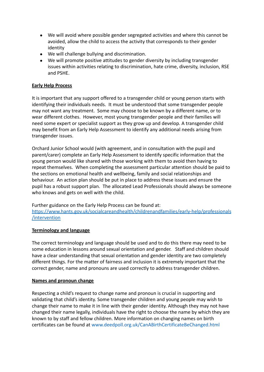- We will avoid where possible gender segregated activities and where this cannot be avoided, allow the child to access the activity that corresponds to their gender identity
- We will challenge bullying and discrimination.
- We will promote positive attitudes to gender diversity by including transgender issues within activities relating to discrimination, hate crime, diversity, inclusion, RSE and PSHE.

# **Early Help Process**

It is important that any support offered to a transgender child or young person starts with identifying their individuals needs. It must be understood that some transgender people may not want any treatment. Some may choose to be known by a different name, or to wear different clothes. However, most young transgender people and their families will need some expert or specialist support as they grow up and develop. A transgender child may benefit from an Early Help Assessment to identify any additional needs arising from transgender issues.

Orchard Junior School would (with agreement, and in consultation with the pupil and parent/carer) complete an Early Help Assessment to identify specific information that the young person would like shared with those working with them to avoid then having to repeat themselves. When completing the assessment particular attention should be paid to the sections on emotional health and wellbeing, family and social relationships and behaviour. An action plan should be put in place to address these issues and ensure the pupil has a robust support plan. The allocated Lead Professionals should always be someone who knows and gets on well with the child.

Further guidance on the Early Help Process can be found at: [https://www.hants.gov.uk/socialcareandhealth/childrenandfamilies/early-help/professionals](https://www.hants.gov.uk/socialcareandhealth/childrenandfamilies/early-help/professionals/intervention) [/intervention](https://www.hants.gov.uk/socialcareandhealth/childrenandfamilies/early-help/professionals/intervention)

# **Terminology and language**

The correct terminology and language should be used and to do this there may need to be some education in lessons around sexual orientation and gender. Staff and children should have a clear understanding that sexual orientation and gender identity are two completely different things. For the matter of fairness and inclusion it is extremely important that the correct gender, name and pronouns are used correctly to address transgender children.

# **Names and pronoun change**

Respecting a child's request to change name and pronoun is crucial in supporting and validating that child's identity. Some transgender children and young people may wish to change their name to make it in line with their gender identity. Although they may not have changed their name legally, individuals have the right to choose the name by which they are known to by staff and fellow children. More information on changing names on birth certificates can be found at www.deedpoll.org.uk/CanABirthCertificateBeChanged.html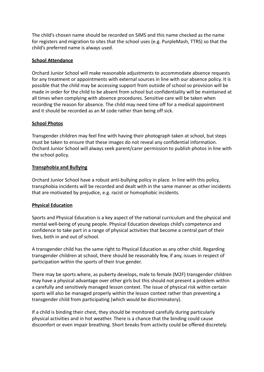The child's chosen name should be recorded on SIMS and this name checked as the name for registers and migration to sites that the school uses (e.g. PurpleMash, TTRS) so that the child's preferred name is always used.

# **School Attendance**

Orchard Junior School will make reasonable adjustments to accommodate absence requests for any treatment or appointments with external sources in line with our absence policy. It is possible that the child may be accessing support from outside of school so provision will be made in order for the child to be absent from school but confidentiality will be maintained at all times when complying with absence procedures. Sensitive care will be taken when recording the reason for absence. The child may need time off for a medical appointment and it should be recorded as an M code rather than being off sick.

# **School Photos**

Transgender children may feel fine with having their photograph taken at school, but steps must be taken to ensure that these images do not reveal any confidential information. Orchard Junior School will always seek parent/carer permission to publish photos in line with the school policy.

# **Transphobia and Bullying**

Orchard Junior School have a robust anti-bullying policy in place. In line with this policy, transphobia incidents will be recorded and dealt with in the same manner as other incidents that are motivated by prejudice, e.g. racist or homophobic incidents.

# **Physical Education**

Sports and Physical Education is a key aspect of the national curriculum and the physical and mental well-being of young people. Physical Education develops child's competence and confidence to take part in a range of physical activities that become a central part of their lives, both in and out of school.

A transgender child has the same right to Physical Education as any other child. Regarding transgender children at school, there should be reasonably few, if any, issues in respect of participation within the sports of their true gender.

There may be sports where, as puberty develops, male to female (M2F) transgender children may have a physical advantage over other girls but this should not present a problem within a carefully and sensitively managed lesson context. The issue of physical risk within certain sports will also be managed properly within the lesson context rather than preventing a transgender child from participating (which would be discriminatory).

If a child is binding their chest, they should be monitored carefully during particularly physical activities and in hot weather. There is a chance that the binding could cause discomfort or even impair breathing. Short breaks from activity could be offered discretely.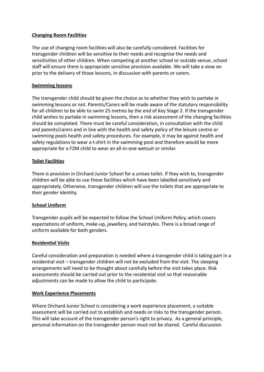# **Changing Room Facilities**

The use of changing room facilities will also be carefully considered. Facilities for transgender children will be sensitive to their needs and recognise the needs and sensitivities of other children. When competing at another school or outside venue, school staff will ensure there is appropriate sensitive provision available. We will take a view on prior to the delivery of those lessons, in discussion with parents or carers.

# **Swimming lessons**

The transgender child should be given the choice as to whether they wish to partake in swimming lessons or not. Parents/Carers will be made aware of the statutory responsibility for all children to be able to swim 25 metres by the end of Key Stage 2. If the transgender child wishes to partake in swimming lessons, then a risk assessment of the changing facilities should be completed. There must be careful consideration, in consultation with the child and parents/carers and in line with the health and safety policy of the leisure centre or swimming pools health and safety procedures. For example, it may be against health and safety regulations to wear a t-shirt in the swimming pool and therefore would be more appropriate for a F2M child to wear an all-in-one wetsuit or similar.

# **Toilet Facilities**

There is provision in Orchard Junior School for a unisex toilet. If they wish to, transgender children will be able to use these facilities which have been labelled sensitively and appropriately. Otherwise, transgender children will use the toilets that are appropriate to their gender identity.

# **School Uniform**

Transgender pupils will be expected to follow the School Uniform Policy, which covers expectations of uniform, make-up, jewellery, and hairstyles. There is a broad range of uniform available for both genders.

# **Residential Visits**

Careful consideration and preparation is needed where a transgender child is taking part in a residential visit – transgender children will not be excluded from the visit. The sleeping arrangements will need to be thought about carefully before the visit takes place. Risk assessments should be carried out prior to the residential visit so that reasonable adjustments can be made to allow the child to participate.

# **Work Experience Placements**

Where Orchard Junior School is considering a work experience placement, a suitable assessment will be carried out to establish and needs or risks to the transgender person. This will take account of the transgender person's right to privacy. As a general principle, personal information on the transgender person must not be shared. Careful discussion